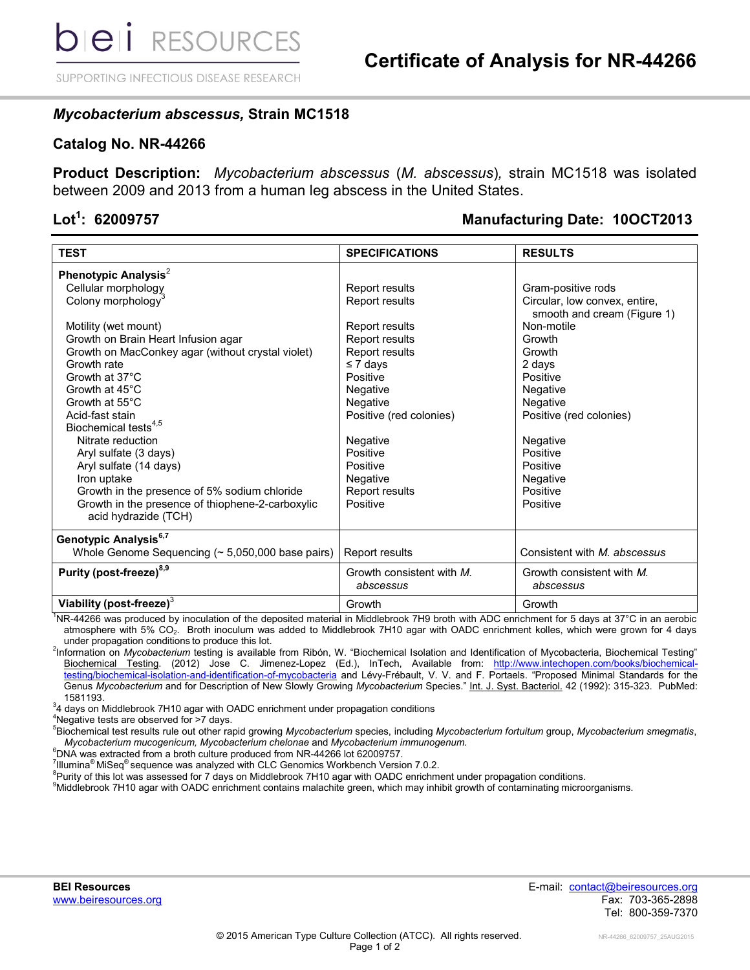SUPPORTING INFECTIOUS DISEASE RESEARCH

## *Mycobacterium abscessus,* **Strain MC1518**

## **Catalog No. NR-44266**

**Product Description:** *Mycobacterium abscessus* (*M. abscessus*)*,* strain MC1518 was isolated between 2009 and 2013 from a human leg abscess in the United States.

# Lot<sup>1</sup>: 62009757

## **: 62009757 Manufacturing Date: 10OCT2013**

| <b>TEST</b>                                                              | <b>SPECIFICATIONS</b>                  | <b>RESULTS</b>                                               |
|--------------------------------------------------------------------------|----------------------------------------|--------------------------------------------------------------|
| Phenotypic Analysis <sup>2</sup>                                         |                                        |                                                              |
| Cellular morphology                                                      | Report results                         | Gram-positive rods                                           |
| Colony morphology <sup>3</sup>                                           | Report results                         | Circular, low convex, entire,<br>smooth and cream (Figure 1) |
| Motility (wet mount)                                                     | Report results                         | Non-motile                                                   |
| Growth on Brain Heart Infusion agar                                      | Report results                         | Growth                                                       |
| Growth on MacConkey agar (without crystal violet)                        | Report results                         | Growth                                                       |
| Growth rate                                                              | $\leq 7$ days                          | 2 days                                                       |
| Growth at 37°C                                                           | Positive                               | Positive                                                     |
| Growth at 45°C                                                           | Negative                               | Negative                                                     |
| Growth at 55°C                                                           | Negative                               | Negative                                                     |
| Acid-fast stain                                                          | Positive (red colonies)                | Positive (red colonies)                                      |
| Biochemical tests <sup>4,5</sup>                                         |                                        |                                                              |
| Nitrate reduction                                                        | Negative                               | Negative                                                     |
| Aryl sulfate (3 days)                                                    | Positive                               | Positive                                                     |
| Aryl sulfate (14 days)                                                   | Positive                               | Positive                                                     |
| Iron uptake                                                              | Negative                               | Negative                                                     |
| Growth in the presence of 5% sodium chloride                             | Report results                         | Positive                                                     |
| Growth in the presence of thiophene-2-carboxylic<br>acid hydrazide (TCH) | Positive                               | Positive                                                     |
| Genotypic Analysis <sup>6,7</sup>                                        |                                        |                                                              |
| Whole Genome Sequencing $($ $\sim$ 5,050,000 base pairs)                 | Report results                         | Consistent with <i>M. abscessus</i>                          |
| Purity (post-freeze) <sup>8,9</sup>                                      | Growth consistent with M.<br>abscessus | Growth consistent with M.<br>abscessus                       |
| Viability (post-freeze) <sup>3</sup>                                     | Growth                                 | Growth                                                       |

<sup>1</sup>NR-44266 was produced by inoculation of the deposited material in Middlebrook 7H9 broth with ADC enrichment for 5 days at 37°C in an aerobic atmosphere with 5% CO<sub>2</sub>. Broth inoculum was added to Middlebrook 7H10 agar with OADC enrichment kolles, which were grown for 4 days under propagation conditions to produce this lot.

2 Information on *Mycobacterium* testing is available from Ribón, W. "Biochemical Isolation and Identification of Mycobacteria, Biochemical Testing" Biochemical Testing. (2012) Jose C. Jimenez-Lopez (Ed.), InTech, Available from: http://www.intechopen.com/books/biochemica [testing/biochemical-isolation-and-identification-of-mycobacteria](http://www.intechopen.com/books/biochemical-testing/biochemical-isolation-and-identification-of-mycobacteria) and Lévy-Frébault, V. V. and F. Portaels. "Proposed Minimal Standards for the Genus *Mycobacterium* and for Description of New Slowly Growing *Mycobacterium* Species." Int. J. Syst. Bacteriol. 42 (1992): 315-323. PubMed: 1581193.

 $34$  days on Middlebrook 7H10 agar with OADC enrichment under propagation conditions

<sup>4</sup>Negative tests are observed for >7 days.

<sup>5</sup>Biochemical test results rule out other rapid growing *Mycobacterium* species, including *Mycobacterium fortuitum* group, *Mycobacterium smegmatis*, *Mycobacterium mucogenicum, Mycobacterium chelonae* and *Mycobacterium immunogenum.*

<sup>6</sup>DNA was extracted from a broth culture produced from NR-44266 lot 62009757.

 $^7$ Illumina<sup>®</sup> MiSeq<sup>®</sup> sequence was analyzed with CLC Genomics Workbench Version 7.0.2.

<sup>8</sup>Purity of this lot was assessed for 7 days on Middlebrook 7H10 agar with OADC enrichment under propagation conditions.

<sup>9</sup>Middlebrook 7H10 agar with OADC enrichment contains malachite green, which may inhibit growth of contaminating microorganisms.